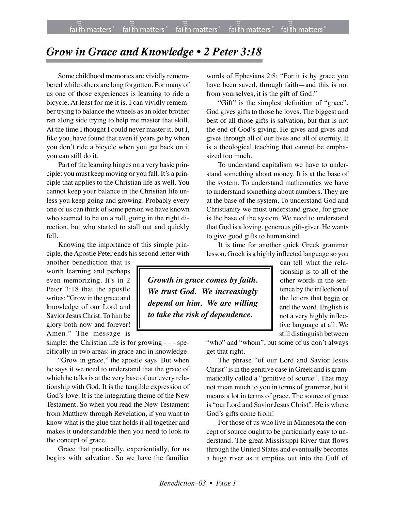## *Grow in Grace and Knowledge • 2 Peter 3:18*

Some childhood memories are vividly remembered while others are long forgotten. For many of us one of those experiences is learning to ride a bicycle. At least for me it is. I can vividly remember trying to balance the wheels as an older brother ran along side trying to help me master that skill. At the time I thought I could never master it, but I, like you, have found that even if years go by when you don't ride a bicycle when you get back on it you can still do it.

Part of the learning hinges on a very basic principle: you must keep moving or you fall. It's a principle that applies to the Christian life as well. You cannot keep your balance in the Christian life unless you keep going and growing. Probably every one of us can think of some person we have known who seemed to be on a roll, going in the right direction, but who started to stall out and quickly fell.

Knowing the importance of this simple principle, the Apostle Peter ends his second letter with

another benediction that is worth learning and perhaps even memorizing. It's in 2 Peter 3:18 that the apostle writes: "Grow in the grace and knowledge of our Lord and Savior Jesus Christ. To him be glory both now and forever! Amen." The message is

simple: the Christian life is for growing - - - specifically in two areas: in grace and in knowledge.

"Grow in grace," the apostle says. But when he says it we need to understand that the grace of which he talks is at the very base of our every relationship with God. It is the tangible expression of God's love. It is the integrating theme of the New Testament. So when you read the New Testament from Matthew through Revelation, if you want to know what is the glue that holds it all together and makes it understandable then you need to look to the concept of grace.

Grace that practically, experientially, for us begins with salvation. So we have the familiar

words of Ephesians 2:8: "For it is by grace you have been saved, through faith—and this is not from yourselves, it is the gift of God."

"Gift" is the simplest definition of "grace". God gives gifts to those he loves. The biggest and best of all those gifts is salvation, but that is not the end of God's giving. He gives and gives and gives through all of our lives and all of eternity. It is a theological teaching that cannot be emphasized too much.

To understand capitalism we have to understand something about money. It is at the base of the system. To understand mathematics we have to understand something about numbers. They are at the base of the system. To understand God and Christianity we must understand grace, for grace is the base of the system. We need to understand that God is a loving, generous gift-giver. He wants to give good gifts to humankind.

It is time for another quick Greek grammar lesson. Greek is a highly inflected language so you

*Growth in grace comes by faith. We trust God. We increasingly depend on him. We are willing to take the risk of dependence.*

can tell what the relationship is to all of the other words in the sentence by the inflection of the letters that begin or end the word. English is not a very highly inflective language at all. We still distinguish between

"who" and "whom", but some of us don't always get that right.

The phrase "of our Lord and Savior Jesus Christ" is in the genitive case in Greek and is grammatically called a "genitive of source". That may not mean much to you in terms of grammar, but it means a lot in terms of grace. The source of grace is "our Lord and Savior Jesus Christ". He is where God's gifts come from!

For those of us who live in Minnesota the concept of source ought to be particularly easy to understand. The great Mississippi River that flows through the United States and eventually becomes a huge river as it empties out into the Gulf of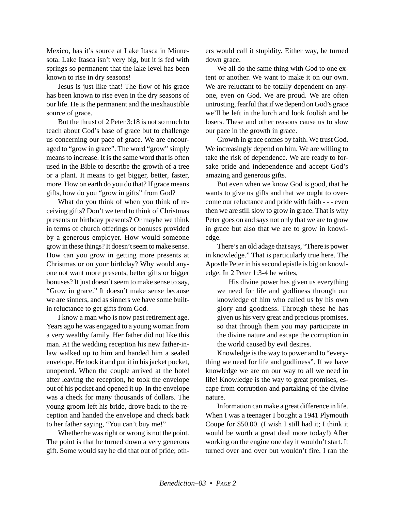Mexico, has it's source at Lake Itasca in Minnesota. Lake Itasca isn't very big, but it is fed with springs so permanent that the lake level has been known to rise in dry seasons!

Jesus is just like that! The flow of his grace has been known to rise even in the dry seasons of our life. He is the permanent and the inexhaustible source of grace.

But the thrust of 2 Peter 3:18 is not so much to teach about God's base of grace but to challenge us concerning our pace of grace. We are encouraged to "grow in grace". The word "grow" simply means to increase. It is the same word that is often used in the Bible to describe the growth of a tree or a plant. It means to get bigger, better, faster, more. How on earth do you do that? If grace means gifts, how do you "grow in gifts" from God?

What do you think of when you think of receiving gifts? Don't we tend to think of Christmas presents or birthday presents? Or maybe we think in terms of church offerings or bonuses provided by a generous employer. How would someone grow in these things? It doesn't seem to make sense. How can you grow in getting more presents at Christmas or on your birthday? Why would anyone not want more presents, better gifts or bigger bonuses? It just doesn't seem to make sense to say, "Grow in grace." It doesn't make sense because we are sinners, and as sinners we have some builtin reluctance to get gifts from God.

I know a man who is now past retirement age. Years ago he was engaged to a young woman from a very wealthy family. Her father did not like this man. At the wedding reception his new father-inlaw walked up to him and handed him a sealed envelope. He took it and put it in his jacket pocket, unopened. When the couple arrived at the hotel after leaving the reception, he took the envelope out of his pocket and opened it up. In the envelope was a check for many thousands of dollars. The young groom left his bride, drove back to the reception and handed the envelope and check back to her father saying, "You can't buy me!"

Whether he was right or wrong is not the point. The point is that he turned down a very generous gift. Some would say he did that out of pride; others would call it stupidity. Either way, he turned down grace.

We all do the same thing with God to one extent or another. We want to make it on our own. We are reluctant to be totally dependent on anyone, even on God. We are proud. We are often untrusting, fearful that if we depend on God's grace we'll be left in the lurch and look foolish and be losers. These and other reasons cause us to slow our pace in the growth in grace.

Growth in grace comes by faith. We trust God. We increasingly depend on him. We are willing to take the risk of dependence. We are ready to forsake pride and independence and accept God's amazing and generous gifts.

But even when we know God is good, that he wants to give us gifts and that we ought to overcome our reluctance and pride with faith - - - even then we are still slow to grow in grace. That is why Peter goes on and says not only that we are to grow in grace but also that we are to grow in knowledge.

There's an old adage that says, "There is power in knowledge." That is particularly true here. The Apostle Peter in his second epistle is big on knowledge. In 2 Peter 1:3-4 he writes,

His divine power has given us everything we need for life and godliness through our knowledge of him who called us by his own glory and goodness. Through these he has given us his very great and precious promises, so that through them you may participate in the divine nature and escape the corruption in the world caused by evil desires.

Knowledge is the way to power and to "everything we need for life and godliness". If we have knowledge we are on our way to all we need in life! Knowledge is the way to great promises, escape from corruption and partaking of the divine nature.

Information can make a great difference in life. When I was a teenager I bought a 1941 Plymouth Coupe for \$50.00. (I wish I still had it; I think it would be worth a great deal more today!) After working on the engine one day it wouldn't start. It turned over and over but wouldn't fire. I ran the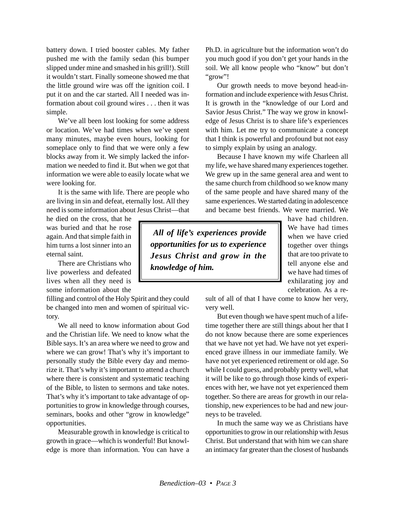battery down. I tried booster cables. My father pushed me with the family sedan (his bumper slipped under mine and smashed in his grill!). Still it wouldn't start. Finally someone showed me that the little ground wire was off the ignition coil. I put it on and the car started. All I needed was information about coil ground wires . . . then it was simple.

We've all been lost looking for some address or location. We've had times when we've spent many minutes, maybe even hours, looking for someplace only to find that we were only a few blocks away from it. We simply lacked the information we needed to find it. But when we got that information we were able to easily locate what we were looking for.

It is the same with life. There are people who are living in sin and defeat, eternally lost. All they need is some information about Jesus Christ—that

he died on the cross, that he was buried and that he rose again. And that simple faith in him turns a lost sinner into an eternal saint.

There are Christians who live powerless and defeated lives when all they need is some information about the

filling and control of the Holy Spirit and they could be changed into men and women of spiritual victory.

We all need to know information about God and the Christian life. We need to know what the Bible says. It's an area where we need to grow and where we can grow! That's why it's important to personally study the Bible every day and memorize it. That's why it's important to attend a church where there is consistent and systematic teaching of the Bible, to listen to sermons and take notes. That's why it's important to take advantage of opportunities to grow in knowledge through courses, seminars, books and other "grow in knowledge" opportunities.

Measurable growth in knowledge is critical to growth in grace—which is wonderful! But knowledge is more than information. You can have a Ph.D. in agriculture but the information won't do you much good if you don't get your hands in the soil. We all know people who "know" but don't "grow"!

Our growth needs to move beyond head-information and include experience with Jesus Christ. It is growth in the "knowledge of our Lord and Savior Jesus Christ." The way we grow in knowledge of Jesus Christ is to share life's experiences with him. Let me try to communicate a concept that I think is powerful and profound but not easy to simply explain by using an analogy.

Because I have known my wife Charleen all my life, we have shared many experiences together. We grew up in the same general area and went to the same church from childhood so we know many of the same people and have shared many of the same experiences. We started dating in adolescence and became best friends. We were married. We

 *All of life's experiences provide opportunities for us to experience Jesus Christ and grow in the knowledge of him.*

have had children. We have had times when we have cried together over things that are too private to tell anyone else and we have had times of exhilarating joy and celebration. As a re-

sult of all of that I have come to know her very, very well.

But even though we have spent much of a lifetime together there are still things about her that I do not know because there are some experiences that we have not yet had. We have not yet experienced grave illness in our immediate family. We have not yet experienced retirement or old age. So while I could guess, and probably pretty well, what it will be like to go through those kinds of experiences with her, we have not yet experienced them together. So there are areas for growth in our relationship, new experiences to be had and new journeys to be traveled.

In much the same way we as Christians have opportunities to grow in our relationship with Jesus Christ. But understand that with him we can share an intimacy far greater than the closest of husbands